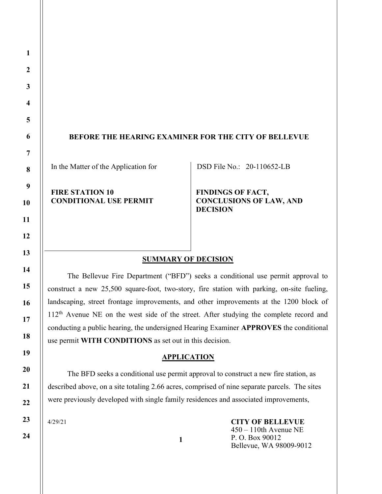#### BEFORE THE HEARING EXAMINER FOR THE CITY OF BELLEVUE

In the Matter of the Application for

DSD File No.: 20-110652-LB

FIRE STATION 10 CONDITIONAL USE PERMIT FINDINGS OF FACT, CONCLUSIONS OF LAW, AND DECISION

#### SUMMARY OF DECISION

The Bellevue Fire Department ("BFD") seeks a conditional use permit approval to construct a new 25,500 square-foot, two-story, fire station with parking, on-site fueling, landscaping, street frontage improvements, and other improvements at the 1200 block of 112<sup>th</sup> Avenue NE on the west side of the street. After studying the complete record and conducting a public hearing, the undersigned Hearing Examiner APPROVES the conditional use permit WITH CONDITIONS as set out in this decision.

## **APPLICATION**

 The BFD seeks a conditional use permit approval to construct a new fire station, as described above, on a site totaling 2.66 acres, comprised of nine separate parcels. The sites were previously developed with single family residences and associated improvements,

1

4/29/21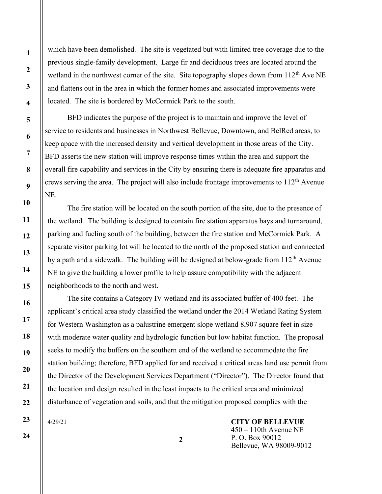which have been demolished. The site is vegetated but with limited tree coverage due to the previous single-family development. Large fir and deciduous trees are located around the wetland in the northwest corner of the site. Site topography slopes down from 112<sup>th</sup> Ave NE and flattens out in the area in which the former homes and associated improvements were located. The site is bordered by McCormick Park to the south.

 BFD indicates the purpose of the project is to maintain and improve the level of service to residents and businesses in Northwest Bellevue, Downtown, and BelRed areas, to keep apace with the increased density and vertical development in those areas of the City. BFD asserts the new station will improve response times within the area and support the overall fire capability and services in the City by ensuring there is adequate fire apparatus and crews serving the area. The project will also include frontage improvements to  $112<sup>th</sup>$  Avenue NE.

 The fire station will be located on the south portion of the site, due to the presence of the wetland. The building is designed to contain fire station apparatus bays and turnaround, parking and fueling south of the building, between the fire station and McCormick Park. A separate visitor parking lot will be located to the north of the proposed station and connected by a path and a sidewalk. The building will be designed at below-grade from 112<sup>th</sup> Avenue NE to give the building a lower profile to help assure compatibility with the adjacent neighborhoods to the north and west.

 The site contains a Category IV wetland and its associated buffer of 400 feet. The applicant's critical area study classified the wetland under the 2014 Wetland Rating System for Western Washington as a palustrine emergent slope wetland 8,907 square feet in size with moderate water quality and hydrologic function but low habitat function. The proposal seeks to modify the buffers on the southern end of the wetland to accommodate the fire station building; therefore, BFD applied for and received a critical areas land use permit from the Director of the Development Services Department ("Director"). The Director found that the location and design resulted in the least impacts to the critical area and minimized disturbance of vegetation and soils, and that the mitigation proposed complies with the

2

4/29/21

CITY OF BELLEVUE 450 – 110th Avenue NE P. O. Box 90012 Bellevue, WA 98009-9012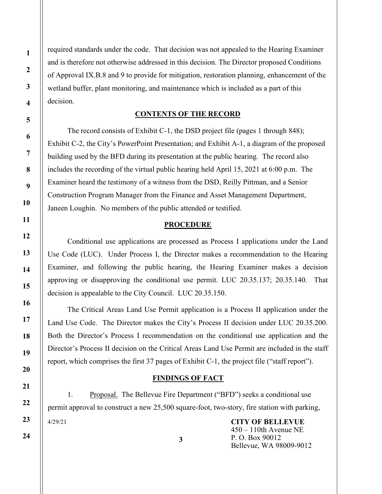required standards under the code. That decision was not appealed to the Hearing Examiner and is therefore not otherwise addressed in this decision. The Director proposed Conditions of Approval IX.B.8 and 9 to provide for mitigation, restoration planning, enhancement of the wetland buffer, plant monitoring, and maintenance which is included as a part of this decision.

#### CONTENTS OF THE RECORD

 The record consists of Exhibit C-1, the DSD project file (pages 1 through 848); Exhibit C-2, the City's PowerPoint Presentation; and Exhibit A-1, a diagram of the proposed building used by the BFD during its presentation at the public hearing. The record also includes the recording of the virtual public hearing held April 15, 2021 at 6:00 p.m. The Examiner heard the testimony of a witness from the DSD, Reilly Pittman, and a Senior Construction Program Manager from the Finance and Asset Management Department, Janeen Loughin. No members of the public attended or testified.

#### PROCEDURE

 Conditional use applications are processed as Process I applications under the Land Use Code (LUC). Under Process I, the Director makes a recommendation to the Hearing Examiner, and following the public hearing, the Hearing Examiner makes a decision approving or disapproving the conditional use permit. LUC 20.35.137; 20.35.140. That decision is appealable to the City Council. LUC 20.35.150.

 The Critical Areas Land Use Permit application is a Process II application under the Land Use Code. The Director makes the City's Process II decision under LUC 20.35.200. Both the Director's Process I recommendation on the conditional use application and the Director's Process II decision on the Critical Areas Land Use Permit are included in the staff report, which comprises the first 37 pages of Exhibit C-1, the project file ("staff report").

#### FINDINGS OF FACT

4/29/21 1. Proposal. The Bellevue Fire Department ("BFD") seeks a conditional use permit approval to construct a new 25,500 square-foot, two-story, fire station with parking,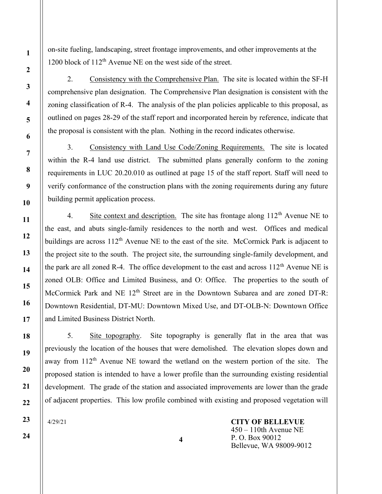on-site fueling, landscaping, street frontage improvements, and other improvements at the 1200 block of  $112<sup>th</sup>$  Avenue NE on the west side of the street.

2. Consistency with the Comprehensive Plan. The site is located within the SF-H comprehensive plan designation. The Comprehensive Plan designation is consistent with the zoning classification of R-4. The analysis of the plan policies applicable to this proposal, as outlined on pages 28-29 of the staff report and incorporated herein by reference, indicate that the proposal is consistent with the plan. Nothing in the record indicates otherwise.

3. Consistency with Land Use Code/Zoning Requirements. The site is located within the R-4 land use district. The submitted plans generally conform to the zoning requirements in LUC 20.20.010 as outlined at page 15 of the staff report. Staff will need to verify conformance of the construction plans with the zoning requirements during any future building permit application process.

4. Site context and description. The site has frontage along  $112<sup>th</sup>$  Avenue NE to the east, and abuts single-family residences to the north and west. Offices and medical buildings are across  $112^{th}$  Avenue NE to the east of the site. McCormick Park is adjacent to the project site to the south. The project site, the surrounding single-family development, and the park are all zoned R-4. The office development to the east and across  $112<sup>th</sup>$  Avenue NE is zoned OLB: Office and Limited Business, and O: Office. The properties to the south of McCormick Park and NE 12<sup>th</sup> Street are in the Downtown Subarea and are zoned DT-R: Downtown Residential, DT-MU: Downtown Mixed Use, and DT-OLB-N: Downtown Office and Limited Business District North.

5. Site topography. Site topography is generally flat in the area that was previously the location of the houses that were demolished. The elevation slopes down and away from 112<sup>th</sup> Avenue NE toward the wetland on the western portion of the site. The proposed station is intended to have a lower profile than the surrounding existing residential development. The grade of the station and associated improvements are lower than the grade of adjacent properties. This low profile combined with existing and proposed vegetation will

4

4/29/21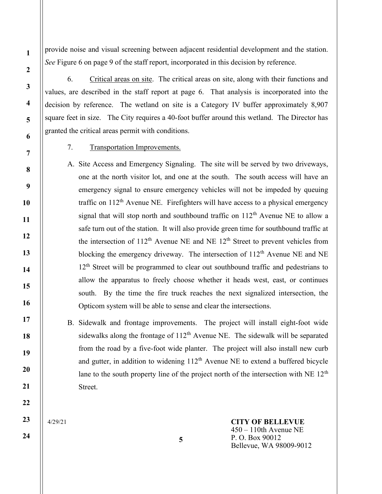provide noise and visual screening between adjacent residential development and the station. See Figure 6 on page 9 of the staff report, incorporated in this decision by reference.

6. Critical areas on site. The critical areas on site, along with their functions and values, are described in the staff report at page 6. That analysis is incorporated into the decision by reference. The wetland on site is a Category IV buffer approximately 8,907 square feet in size. The City requires a 40-foot buffer around this wetland. The Director has granted the critical areas permit with conditions.

7. Transportation Improvements.

A. Site Access and Emergency Signaling. The site will be served by two driveways, one at the north visitor lot, and one at the south. The south access will have an emergency signal to ensure emergency vehicles will not be impeded by queuing traffic on  $112<sup>th</sup>$  Avenue NE. Firefighters will have access to a physical emergency signal that will stop north and southbound traffic on  $112<sup>th</sup>$  Avenue NE to allow a safe turn out of the station. It will also provide green time for southbound traffic at the intersection of  $112<sup>th</sup>$  Avenue NE and NE  $12<sup>th</sup>$  Street to prevent vehicles from blocking the emergency driveway. The intersection of  $112<sup>th</sup>$  Avenue NE and NE 12<sup>th</sup> Street will be programmed to clear out southbound traffic and pedestrians to allow the apparatus to freely choose whether it heads west, east, or continues south. By the time the fire truck reaches the next signalized intersection, the Opticom system will be able to sense and clear the intersections.

B. Sidewalk and frontage improvements. The project will install eight-foot wide sidewalks along the frontage of  $112<sup>th</sup>$  Avenue NE. The sidewalk will be separated from the road by a five-foot wide planter. The project will also install new curb and gutter, in addition to widening  $112<sup>th</sup>$  Avenue NE to extend a buffered bicycle lane to the south property line of the project north of the intersection with  $NE 12<sup>th</sup>$ Street.

4/29/21

CITY OF BELLEVUE 450 – 110th Avenue NE P. O. Box 90012 Bellevue, WA 98009-9012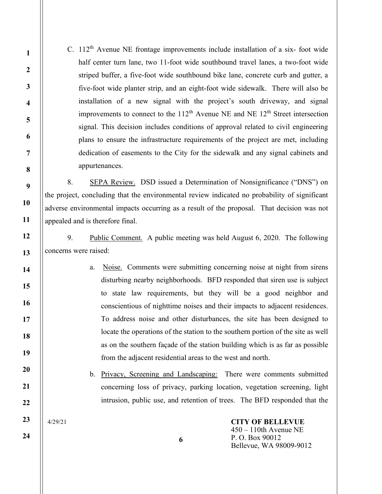C.  $112<sup>th</sup>$  Avenue NE frontage improvements include installation of a six-foot wide half center turn lane, two 11-foot wide southbound travel lanes, a two-foot wide striped buffer, a five-foot wide southbound bike lane, concrete curb and gutter, a five-foot wide planter strip, and an eight-foot wide sidewalk. There will also be installation of a new signal with the project's south driveway, and signal improvements to connect to the  $112<sup>th</sup>$  Avenue NE and NE  $12<sup>th</sup>$  Street intersection signal. This decision includes conditions of approval related to civil engineering plans to ensure the infrastructure requirements of the project are met, including dedication of easements to the City for the sidewalk and any signal cabinets and appurtenances.

8. SEPA Review. DSD issued a Determination of Nonsignificance ("DNS") on the project, concluding that the environmental review indicated no probability of significant adverse environmental impacts occurring as a result of the proposal. That decision was not appealed and is therefore final.

9. Public Comment. A public meeting was held August 6, 2020. The following concerns were raised:

> a. Noise. Comments were submitting concerning noise at night from sirens disturbing nearby neighborhoods. BFD responded that siren use is subject to state law requirements, but they will be a good neighbor and conscientious of nighttime noises and their impacts to adjacent residences. To address noise and other disturbances, the site has been designed to locate the operations of the station to the southern portion of the site as well as on the southern façade of the station building which is as far as possible from the adjacent residential areas to the west and north.

b. Privacy, Screening and Landscaping: There were comments submitted concerning loss of privacy, parking location, vegetation screening, light intrusion, public use, and retention of trees. The BFD responded that the

6

4/29/21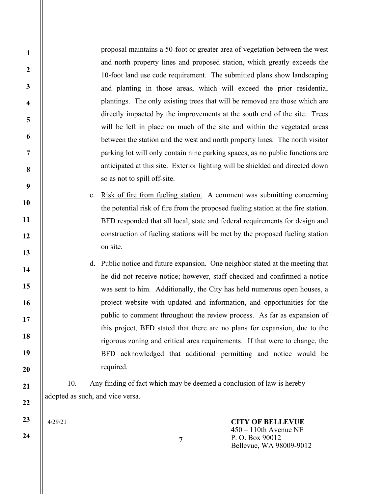proposal maintains a 50-foot or greater area of vegetation between the west and north property lines and proposed station, which greatly exceeds the 10-foot land use code requirement. The submitted plans show landscaping and planting in those areas, which will exceed the prior residential plantings. The only existing trees that will be removed are those which are directly impacted by the improvements at the south end of the site. Trees will be left in place on much of the site and within the vegetated areas between the station and the west and north property lines. The north visitor parking lot will only contain nine parking spaces, as no public functions are anticipated at this site. Exterior lighting will be shielded and directed down so as not to spill off-site.

- c. Risk of fire from fueling station. A comment was submitting concerning the potential risk of fire from the proposed fueling station at the fire station. BFD responded that all local, state and federal requirements for design and construction of fueling stations will be met by the proposed fueling station on site.
- d. Public notice and future expansion. One neighbor stated at the meeting that he did not receive notice; however, staff checked and confirmed a notice was sent to him. Additionally, the City has held numerous open houses, a project website with updated and information, and opportunities for the public to comment throughout the review process. As far as expansion of this project, BFD stated that there are no plans for expansion, due to the rigorous zoning and critical area requirements. If that were to change, the BFD acknowledged that additional permitting and notice would be required.

10. Any finding of fact which may be deemed a conclusion of law is hereby adopted as such, and vice versa.

4/29/21

1

2

3

4

5

6

7

8

9

10

11

12

13

14

15

16

17

18

19

20

21

22

23

24

CITY OF BELLEVUE 450 – 110th Avenue NE P. O. Box 90012 Bellevue, WA 98009-9012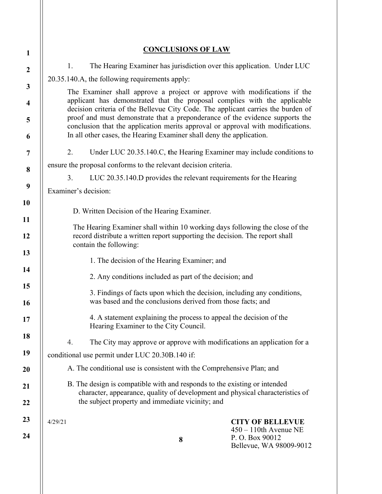|                                                                                                                                                                                                                                            | <b>CONCLUSIONS OF LAW</b>                                                                                                                                                                                                               |                                                                                                  |
|--------------------------------------------------------------------------------------------------------------------------------------------------------------------------------------------------------------------------------------------|-----------------------------------------------------------------------------------------------------------------------------------------------------------------------------------------------------------------------------------------|--------------------------------------------------------------------------------------------------|
| 1.                                                                                                                                                                                                                                         |                                                                                                                                                                                                                                         |                                                                                                  |
| The Hearing Examiner has jurisdiction over this application. Under LUC<br>20.35.140.A, the following requirements apply:                                                                                                                   |                                                                                                                                                                                                                                         |                                                                                                  |
|                                                                                                                                                                                                                                            |                                                                                                                                                                                                                                         |                                                                                                  |
| The Examiner shall approve a project or approve with modifications if the<br>applicant has demonstrated that the proposal complies with the applicable<br>decision criteria of the Bellevue City Code. The applicant carries the burden of |                                                                                                                                                                                                                                         |                                                                                                  |
|                                                                                                                                                                                                                                            | proof and must demonstrate that a preponderance of the evidence supports the<br>conclusion that the application merits approval or approval with modifications.<br>In all other cases, the Hearing Examiner shall deny the application. |                                                                                                  |
| 2.                                                                                                                                                                                                                                         | Under LUC 20.35.140.C, the Hearing Examiner may include conditions to                                                                                                                                                                   |                                                                                                  |
|                                                                                                                                                                                                                                            | ensure the proposal conforms to the relevant decision criteria.                                                                                                                                                                         |                                                                                                  |
| 3.<br>LUC 20.35.140.D provides the relevant requirements for the Hearing                                                                                                                                                                   |                                                                                                                                                                                                                                         |                                                                                                  |
| Examiner's decision:                                                                                                                                                                                                                       |                                                                                                                                                                                                                                         |                                                                                                  |
|                                                                                                                                                                                                                                            | D. Written Decision of the Hearing Examiner.                                                                                                                                                                                            |                                                                                                  |
|                                                                                                                                                                                                                                            | The Hearing Examiner shall within 10 working days following the close of the<br>record distribute a written report supporting the decision. The report shall<br>contain the following:                                                  |                                                                                                  |
|                                                                                                                                                                                                                                            | 1. The decision of the Hearing Examiner; and                                                                                                                                                                                            |                                                                                                  |
| 2. Any conditions included as part of the decision; and                                                                                                                                                                                    |                                                                                                                                                                                                                                         |                                                                                                  |
| 3. Findings of facts upon which the decision, including any conditions,<br>was based and the conclusions derived from those facts; and                                                                                                     |                                                                                                                                                                                                                                         |                                                                                                  |
|                                                                                                                                                                                                                                            | 4. A statement explaining the process to appeal the decision of the<br>Hearing Examiner to the City Council.                                                                                                                            |                                                                                                  |
| 4.                                                                                                                                                                                                                                         | The City may approve or approve with modifications an application for a                                                                                                                                                                 |                                                                                                  |
|                                                                                                                                                                                                                                            | conditional use permit under LUC 20.30B.140 if:                                                                                                                                                                                         |                                                                                                  |
|                                                                                                                                                                                                                                            | A. The conditional use is consistent with the Comprehensive Plan; and                                                                                                                                                                   |                                                                                                  |
|                                                                                                                                                                                                                                            | B. The design is compatible with and responds to the existing or intended<br>character, appearance, quality of development and physical characteristics of<br>the subject property and immediate vicinity; and                          |                                                                                                  |
| 4/29/21                                                                                                                                                                                                                                    | 8                                                                                                                                                                                                                                       | <b>CITY OF BELLEVUE</b><br>$450 - 110$ th Avenue NE<br>P.O. Box 90012<br>Bellevue, WA 98009-9012 |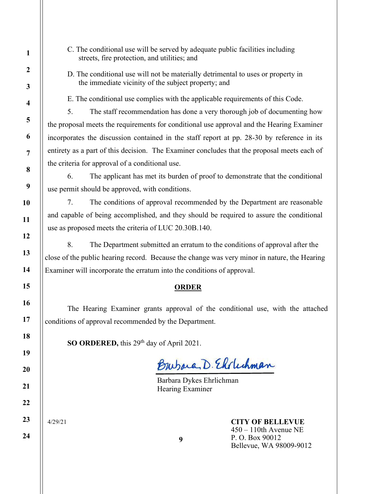- 1 2 3 4 5 6 7 8 9 10 11 12 13 14 15 16 17 18 19 20 21 22 23 24
- C. The conditional use will be served by adequate public facilities including streets, fire protection, and utilities; and
- D. The conditional use will not be materially detrimental to uses or property in the immediate vicinity of the subject property; and

E. The conditional use complies with the applicable requirements of this Code.

 5. The staff recommendation has done a very thorough job of documenting how the proposal meets the requirements for conditional use approval and the Hearing Examiner incorporates the discussion contained in the staff report at pp. 28-30 by reference in its entirety as a part of this decision. The Examiner concludes that the proposal meets each of the criteria for approval of a conditional use.

 6. The applicant has met its burden of proof to demonstrate that the conditional use permit should be approved, with conditions.

 7. The conditions of approval recommended by the Department are reasonable and capable of being accomplished, and they should be required to assure the conditional use as proposed meets the criteria of LUC 20.30B.140.

8. The Department submitted an erratum to the conditions of approval after the close of the public hearing record. Because the change was very minor in nature, the Hearing Examiner will incorporate the erratum into the conditions of approval.

# **ORDER**

The Hearing Examiner grants approval of the conditional use, with the attached conditions of approval recommended by the Department.

SO ORDERED, this 29<sup>th</sup> day of April 2021.

Burbara, D. Elclechman

Barbara Dykes Ehrlichman Hearing Examiner

4/29/21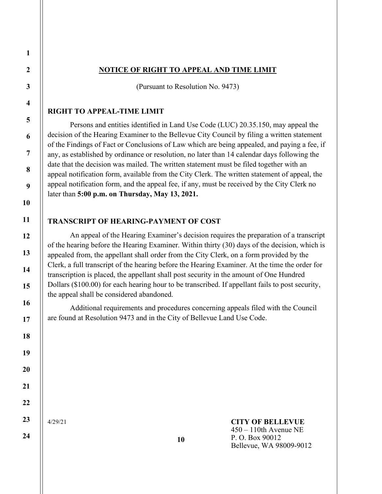## NOTICE OF RIGHT TO APPEAL AND TIME LIMIT

(Pursuant to Resolution No. 9473)

#### RIGHT TO APPEAL-TIME LIMIT

Persons and entities identified in Land Use Code (LUC) 20.35.150, may appeal the decision of the Hearing Examiner to the Bellevue City Council by filing a written statement of the Findings of Fact or Conclusions of Law which are being appealed, and paying a fee, if any, as established by ordinance or resolution, no later than 14 calendar days following the date that the decision was mailed. The written statement must be filed together with an appeal notification form, available from the City Clerk. The written statement of appeal, the appeal notification form, and the appeal fee, if any, must be received by the City Clerk no later than 5:00 p.m. on Thursday, May 13, 2021.

#### TRANSCRIPT OF HEARING-PAYMENT OF COST

An appeal of the Hearing Examiner's decision requires the preparation of a transcript of the hearing before the Hearing Examiner. Within thirty (30) days of the decision, which is appealed from, the appellant shall order from the City Clerk, on a form provided by the Clerk, a full transcript of the hearing before the Hearing Examiner. At the time the order for transcription is placed, the appellant shall post security in the amount of One Hundred Dollars (\$100.00) for each hearing hour to be transcribed. If appellant fails to post security, the appeal shall be considered abandoned.

Additional requirements and procedures concerning appeals filed with the Council are found at Resolution 9473 and in the City of Bellevue Land Use Code.

4/29/21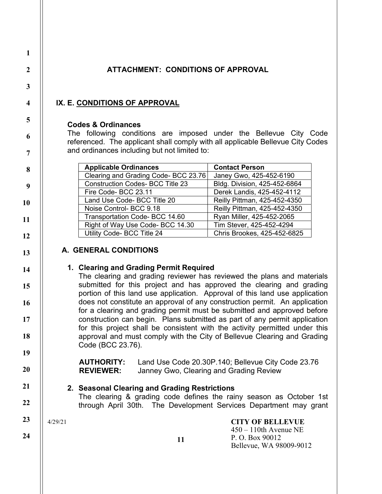# ATTACHMENT: CONDITIONS OF APPROVAL

# IX. E. CONDITIONS OF APPROVAL

## Codes & Ordinances

The following conditions are imposed under the Bellevue City Code referenced. The applicant shall comply with all applicable Bellevue City Codes and ordinances including but not limited to:

| <b>Applicable Ordinances</b>            | <b>Contact Person</b>        |  |
|-----------------------------------------|------------------------------|--|
| Clearing and Grading Code- BCC 23.76    | Janey Gwo, 425-452-6190      |  |
| <b>Construction Codes- BCC Title 23</b> | Bldg. Division, 425-452-6864 |  |
| Fire Code-BCC 23.11                     | Derek Landis, 425-452-4112   |  |
| Land Use Code- BCC Title 20             | Reilly Pittman, 425-452-4350 |  |
| Noise Control-BCC 9.18                  | Reilly Pittman, 425-452-4350 |  |
| Transportation Code- BCC 14.60          | Ryan Miller, 425-452-2065    |  |
| Right of Way Use Code- BCC 14.30        | Tim Stever, 425-452-4294     |  |
| Utility Code- BCC Title 24              | Chris Brookes, 425-452-6825  |  |

# A. GENERAL CONDITIONS

# 1. Clearing and Grading Permit Required

The clearing and grading reviewer has reviewed the plans and materials submitted for this project and has approved the clearing and grading portion of this land use application. Approval of this land use application does not constitute an approval of any construction permit. An application for a clearing and grading permit must be submitted and approved before construction can begin. Plans submitted as part of any permit application for this project shall be consistent with the activity permitted under this approval and must comply with the City of Bellevue Clearing and Grading Code (BCC 23.76).

AUTHORITY: Land Use Code 20.30P.140; Bellevue City Code 23.76 REVIEWER: Janney Gwo, Clearing and Grading Review

# 2. Seasonal Clearing and Grading Restrictions

The clearing & grading code defines the rainy season as October 1st through April 30th. The Development Services Department may grant

> CITY OF BELLEVUE 450 – 110th Avenue NE

Bellevue, WA 98009-9012

P. O. Box 90012

4/29/21

24

1

2

3

4

5

6

7

8

9

10

11

12

13

14

15

16

17

18

19

20

21

22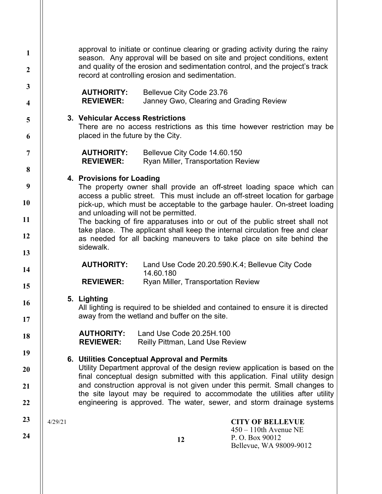| $\mathbf{1}$<br>$\overline{2}$ |         | approval to initiate or continue clearing or grading activity during the rainy<br>season. Any approval will be based on site and project conditions, extent<br>and quality of the erosion and sedimentation control, and the project's track<br>record at controlling erosion and sedimentation.                   |                                                                           |                                                                                                                                                        |
|--------------------------------|---------|--------------------------------------------------------------------------------------------------------------------------------------------------------------------------------------------------------------------------------------------------------------------------------------------------------------------|---------------------------------------------------------------------------|--------------------------------------------------------------------------------------------------------------------------------------------------------|
| $\mathbf{3}$                   |         | <b>AUTHORITY:</b>                                                                                                                                                                                                                                                                                                  | Bellevue City Code 23.76                                                  |                                                                                                                                                        |
| $\overline{\mathbf{4}}$        |         | <b>REVIEWER:</b>                                                                                                                                                                                                                                                                                                   | Janney Gwo, Clearing and Grading Review                                   |                                                                                                                                                        |
| 5                              |         | 3. Vehicular Access Restrictions                                                                                                                                                                                                                                                                                   |                                                                           |                                                                                                                                                        |
| 6                              |         | placed in the future by the City.                                                                                                                                                                                                                                                                                  |                                                                           | There are no access restrictions as this time however restriction may be                                                                               |
| $\overline{7}$                 |         | <b>AUTHORITY:</b><br><b>REVIEWER:</b>                                                                                                                                                                                                                                                                              | Bellevue City Code 14.60.150<br><b>Ryan Miller, Transportation Review</b> |                                                                                                                                                        |
| 8                              |         |                                                                                                                                                                                                                                                                                                                    |                                                                           |                                                                                                                                                        |
| 9                              |         | 4. Provisions for Loading                                                                                                                                                                                                                                                                                          |                                                                           | The property owner shall provide an off-street loading space which can<br>access a public street. This must include an off-street location for garbage |
| 10                             |         |                                                                                                                                                                                                                                                                                                                    |                                                                           | pick-up, which must be acceptable to the garbage hauler. On-street loading                                                                             |
| 11                             |         | and unloading will not be permitted.                                                                                                                                                                                                                                                                               |                                                                           | The backing of fire apparatuses into or out of the public street shall not                                                                             |
| 12                             |         |                                                                                                                                                                                                                                                                                                                    |                                                                           | take place. The applicant shall keep the internal circulation free and clear<br>as needed for all backing maneuvers to take place on site behind the   |
| 13                             |         | sidewalk.                                                                                                                                                                                                                                                                                                          |                                                                           |                                                                                                                                                        |
| 14                             |         | <b>AUTHORITY:</b>                                                                                                                                                                                                                                                                                                  | Land Use Code 20.20.590.K.4; Bellevue City Code<br>14.60.180              |                                                                                                                                                        |
| 15                             |         | <b>REVIEWER:</b>                                                                                                                                                                                                                                                                                                   | Ryan Miller, Transportation Review                                        |                                                                                                                                                        |
| 16                             |         | 5. Lighting                                                                                                                                                                                                                                                                                                        |                                                                           | All lighting is required to be shielded and contained to ensure it is directed                                                                         |
| 17                             |         |                                                                                                                                                                                                                                                                                                                    | away from the wetland and buffer on the site.                             |                                                                                                                                                        |
| 18                             |         | <b>AUTHORITY:</b><br><b>REVIEWER:</b>                                                                                                                                                                                                                                                                              | Land Use Code 20.25H.100<br><b>Reilly Pittman, Land Use Review</b>        |                                                                                                                                                        |
| 19                             |         |                                                                                                                                                                                                                                                                                                                    |                                                                           |                                                                                                                                                        |
| 20                             |         |                                                                                                                                                                                                                                                                                                                    | 6. Utilities Conceptual Approval and Permits                              | Utility Department approval of the design review application is based on the                                                                           |
| 21                             |         | final conceptual design submitted with this application. Final utility design<br>and construction approval is not given under this permit. Small changes to<br>the site layout may be required to accommodate the utilities after utility<br>engineering is approved. The water, sewer, and storm drainage systems |                                                                           |                                                                                                                                                        |
| 22                             |         |                                                                                                                                                                                                                                                                                                                    |                                                                           |                                                                                                                                                        |
| 23                             | 4/29/21 |                                                                                                                                                                                                                                                                                                                    |                                                                           | <b>CITY OF BELLEVUE</b>                                                                                                                                |
|                                |         |                                                                                                                                                                                                                                                                                                                    |                                                                           | $450 - 110$ th Avenue NE                                                                                                                               |
| 24                             |         |                                                                                                                                                                                                                                                                                                                    | 12                                                                        | P.O. Box 90012<br>Bellevue, WA 98009-9012                                                                                                              |
|                                |         |                                                                                                                                                                                                                                                                                                                    |                                                                           |                                                                                                                                                        |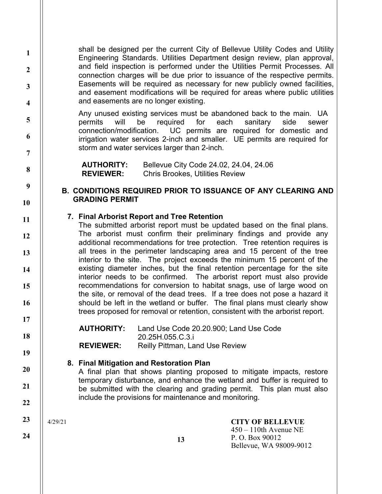shall be designed per the current City of Bellevue Utility Codes and Utility Engineering Standards. Utilities Department design review, plan approval, and field inspection is performed under the Utilities Permit Processes. All connection charges will be due prior to issuance of the respective permits. Easements will be required as necessary for new publicly owned facilities, and easement modifications will be required for areas where public utilities and easements are no longer existing.

Any unused existing services must be abandoned back to the main. UA permits will be required for each sanitary side sewer connection/modification. UC permits are required for domestic and irrigation water services 2-inch and smaller. UE permits are required for storm and water services larger than 2-inch.

AUTHORITY: Bellevue City Code 24.02, 24.04, 24.06 REVIEWER: Chris Brookes, Utilities Review

# B. CONDITIONS REQUIRED PRIOR TO ISSUANCE OF ANY CLEARING AND GRADING PERMIT

## 7. Final Arborist Report and Tree Retention

The submitted arborist report must be updated based on the final plans. The arborist must confirm their preliminary findings and provide any additional recommendations for tree protection. Tree retention requires is all trees in the perimeter landscaping area and 15 percent of the tree interior to the site. The project exceeds the minimum 15 percent of the existing diameter inches, but the final retention percentage for the site interior needs to be confirmed. The arborist report must also provide recommendations for conversion to habitat snags, use of large wood on the site, or removal of the dead trees. If a tree does not pose a hazard it should be left in the wetland or buffer. The final plans must clearly show trees proposed for removal or retention, consistent with the arborist report.

AUTHORITY: Land Use Code 20.20.900; Land Use Code 20.25H.055.C.3.i **REVIEWER:** Reilly Pittman, Land Use Review

# 8. Final Mitigation and Restoration Plan

A final plan that shows planting proposed to mitigate impacts, restore temporary disturbance, and enhance the wetland and buffer is required to be submitted with the clearing and grading permit. This plan must also include the provisions for maintenance and monitoring.

4/29/21

1

2

3

4

5

6

7

8

9

10

11

12

13

14

15

16

17

18

19

20

21

22

23

24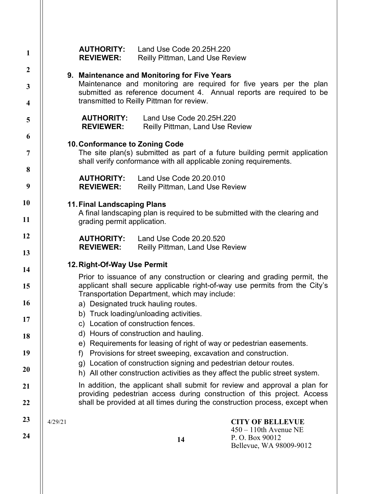| $\mathbf{1}$            |                                                                                                                                                                                                          | <b>AUTHORITY:</b><br><b>REVIEWER:</b>                                                                                                                 | Land Use Code 20.25H.220<br><b>Reilly Pittman, Land Use Review</b> |                                                                             |  |
|-------------------------|----------------------------------------------------------------------------------------------------------------------------------------------------------------------------------------------------------|-------------------------------------------------------------------------------------------------------------------------------------------------------|--------------------------------------------------------------------|-----------------------------------------------------------------------------|--|
| $\boldsymbol{2}$        |                                                                                                                                                                                                          |                                                                                                                                                       | 9. Maintenance and Monitoring for Five Years                       |                                                                             |  |
| 3                       |                                                                                                                                                                                                          | Maintenance and monitoring are required for five years per the plan<br>submitted as reference document 4. Annual reports are required to be           |                                                                    |                                                                             |  |
| $\overline{\mathbf{4}}$ |                                                                                                                                                                                                          | transmitted to Reilly Pittman for review.                                                                                                             |                                                                    |                                                                             |  |
| 5                       |                                                                                                                                                                                                          | <b>AUTHORITY:</b><br><b>REVIEWER:</b>                                                                                                                 | Land Use Code 20.25H.220<br><b>Reilly Pittman, Land Use Review</b> |                                                                             |  |
| 6                       |                                                                                                                                                                                                          | 10. Conformance to Zoning Code                                                                                                                        |                                                                    |                                                                             |  |
| 7                       |                                                                                                                                                                                                          |                                                                                                                                                       | shall verify conformance with all applicable zoning requirements.  | The site plan(s) submitted as part of a future building permit application  |  |
| 8                       |                                                                                                                                                                                                          | <b>AUTHORITY:</b>                                                                                                                                     | Land Use Code 20.20.010                                            |                                                                             |  |
| 9                       |                                                                                                                                                                                                          | <b>REVIEWER:</b>                                                                                                                                      | <b>Reilly Pittman, Land Use Review</b>                             |                                                                             |  |
| 10                      |                                                                                                                                                                                                          | <b>11. Final Landscaping Plans</b>                                                                                                                    |                                                                    |                                                                             |  |
| 11                      | A final landscaping plan is required to be submitted with the clearing and<br>grading permit application.                                                                                                |                                                                                                                                                       |                                                                    |                                                                             |  |
| 12                      |                                                                                                                                                                                                          | <b>AUTHORITY:</b>                                                                                                                                     | Land Use Code 20.20.520                                            |                                                                             |  |
| 13                      |                                                                                                                                                                                                          | <b>REVIEWER:</b>                                                                                                                                      | <b>Reilly Pittman, Land Use Review</b>                             |                                                                             |  |
| 14                      | 12. Right-Of-Way Use Permit                                                                                                                                                                              |                                                                                                                                                       |                                                                    |                                                                             |  |
| 15                      | Prior to issuance of any construction or clearing and grading permit, the<br>applicant shall secure applicable right-of-way use permits from the City's<br>Transportation Department, which may include: |                                                                                                                                                       |                                                                    |                                                                             |  |
| 16                      |                                                                                                                                                                                                          |                                                                                                                                                       | a) Designated truck hauling routes.                                |                                                                             |  |
| 17                      |                                                                                                                                                                                                          | b) Truck loading/unloading activities.                                                                                                                |                                                                    |                                                                             |  |
| 18                      |                                                                                                                                                                                                          | c) Location of construction fences.<br>d) Hours of construction and hauling.                                                                          |                                                                    |                                                                             |  |
| 19                      | e) Requirements for leasing of right of way or pedestrian easements.                                                                                                                                     |                                                                                                                                                       |                                                                    |                                                                             |  |
|                         |                                                                                                                                                                                                          | Provisions for street sweeping, excavation and construction.<br>f)<br>g) Location of construction signing and pedestrian detour routes.               |                                                                    |                                                                             |  |
| 20                      |                                                                                                                                                                                                          | h) All other construction activities as they affect the public street system.                                                                         |                                                                    |                                                                             |  |
| 21                      |                                                                                                                                                                                                          | In addition, the applicant shall submit for review and approval a plan for<br>providing pedestrian access during construction of this project. Access |                                                                    |                                                                             |  |
| 22                      |                                                                                                                                                                                                          |                                                                                                                                                       |                                                                    | shall be provided at all times during the construction process, except when |  |
| 23                      | 4/29/21                                                                                                                                                                                                  |                                                                                                                                                       |                                                                    | <b>CITY OF BELLEVUE</b>                                                     |  |
| 24                      |                                                                                                                                                                                                          |                                                                                                                                                       | 14                                                                 | $450 - 110$ th Avenue NE<br>P.O. Box 90012<br>Bellevue, WA 98009-9012       |  |
|                         |                                                                                                                                                                                                          |                                                                                                                                                       |                                                                    |                                                                             |  |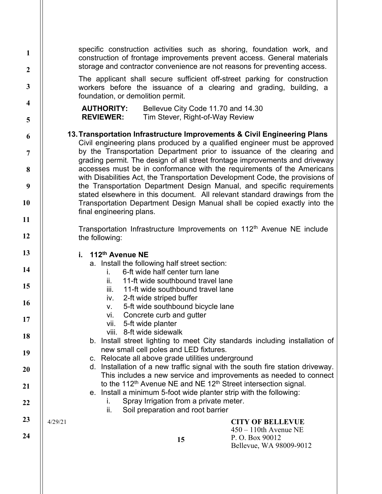| $\mathbf{1}$<br>$\boldsymbol{2}$ | specific construction activities such as shoring, foundation work, and<br>construction of frontage improvements prevent access. General materials<br>storage and contractor convenience are not reasons for preventing access. |  |  |  |
|----------------------------------|--------------------------------------------------------------------------------------------------------------------------------------------------------------------------------------------------------------------------------|--|--|--|
| 3                                | The applicant shall secure sufficient off-street parking for construction<br>workers before the issuance of a clearing and grading, building, a<br>foundation, or demolition permit.                                           |  |  |  |
| $\overline{\mathbf{4}}$<br>5     | <b>AUTHORITY:</b><br>Bellevue City Code 11.70 and 14.30<br>Tim Stever, Right-of-Way Review<br><b>REVIEWER:</b>                                                                                                                 |  |  |  |
| 6                                | 13. Transportation Infrastructure Improvements & Civil Engineering Plans                                                                                                                                                       |  |  |  |
|                                  | Civil engineering plans produced by a qualified engineer must be approved                                                                                                                                                      |  |  |  |
| $\overline{7}$                   | by the Transportation Department prior to issuance of the clearing and<br>grading permit. The design of all street frontage improvements and driveway                                                                          |  |  |  |
| 8                                | accesses must be in conformance with the requirements of the Americans<br>with Disabilities Act, the Transportation Development Code, the provisions of                                                                        |  |  |  |
| 9                                | the Transportation Department Design Manual, and specific requirements                                                                                                                                                         |  |  |  |
| 10                               | stated elsewhere in this document. All relevant standard drawings from the<br>Transportation Department Design Manual shall be copied exactly into the<br>final engineering plans.                                             |  |  |  |
| 11                               |                                                                                                                                                                                                                                |  |  |  |
| 12                               | Transportation Infrastructure Improvements on 112 <sup>th</sup> Avenue NE include<br>the following:                                                                                                                            |  |  |  |
| 13                               | i. 112th Avenue NE                                                                                                                                                                                                             |  |  |  |
| 14                               | a. Install the following half street section:<br>6-ft wide half center turn lane<br>i.                                                                                                                                         |  |  |  |
| 15                               | 11-ft wide southbound travel lane<br>ii.<br>11-ft wide southbound travel lane<br>iii.                                                                                                                                          |  |  |  |
| 16                               | 2-ft wide striped buffer<br>iv.                                                                                                                                                                                                |  |  |  |
|                                  | 5-ft wide southbound bicycle lane<br>V.<br>Concrete curb and gutter<br>VI.                                                                                                                                                     |  |  |  |
| 17                               | 5-ft wide planter<br>vii.                                                                                                                                                                                                      |  |  |  |
| 18                               | viii. 8-ft wide sidewalk<br>b. Install street lighting to meet City standards including installation of                                                                                                                        |  |  |  |
| 19                               | new small cell poles and LED fixtures.                                                                                                                                                                                         |  |  |  |
|                                  | c. Relocate all above grade utilities underground<br>d. Installation of a new traffic signal with the south fire station driveway.                                                                                             |  |  |  |
| 20                               | This includes a new service and improvements as needed to connect                                                                                                                                                              |  |  |  |
| 21                               | to the 112 <sup>th</sup> Avenue NE and NE 12 <sup>th</sup> Street intersection signal.                                                                                                                                         |  |  |  |
| 22                               | e. Install a minimum 5-foot wide planter strip with the following:<br>Spray Irrigation from a private meter.<br>L.<br>ii.<br>Soil preparation and root barrier                                                                 |  |  |  |
| 23                               | 4/29/21<br><b>CITY OF BELLEVUE</b>                                                                                                                                                                                             |  |  |  |
| 24                               | $450 - 110$ th Avenue NE<br>P.O. Box 90012<br>15<br>Bellevue, WA 98009-9012                                                                                                                                                    |  |  |  |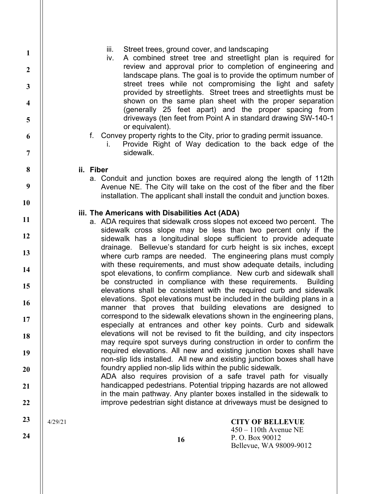| iii. | Street trees, ground cover, and landscaping |  |  |
|------|---------------------------------------------|--|--|
|      |                                             |  |  |

iv. A combined street tree and streetlight plan is required for review and approval prior to completion of engineering and landscape plans. The goal is to provide the optimum number of street trees while not compromising the light and safety provided by streetlights. Street trees and streetlights must be shown on the same plan sheet with the proper separation (generally 25 feet apart) and the proper spacing from driveways (ten feet from Point A in standard drawing SW-140-1 or equivalent).

- f. Convey property rights to the City, prior to grading permit issuance.
	- i. Provide Right of Way dedication to the back edge of the sidewalk.

#### ii. Fiber

a. Conduit and junction boxes are required along the length of 112th Avenue NE. The City will take on the cost of the fiber and the fiber installation. The applicant shall install the conduit and junction boxes.

## iii. The Americans with Disabilities Act (ADA)

- a. ADA requires that sidewalk cross slopes not exceed two percent. The sidewalk cross slope may be less than two percent only if the sidewalk has a longitudinal slope sufficient to provide adequate drainage. Bellevue's standard for curb height is six inches, except where curb ramps are needed. The engineering plans must comply with these requirements, and must show adequate details, including spot elevations, to confirm compliance. New curb and sidewalk shall be constructed in compliance with these requirements. Building elevations shall be consistent with the required curb and sidewalk elevations. Spot elevations must be included in the building plans in a manner that proves that building elevations are designed to correspond to the sidewalk elevations shown in the engineering plans, especially at entrances and other key points. Curb and sidewalk elevations will not be revised to fit the building, and city inspectors may require spot surveys during construction in order to confirm the required elevations. All new and existing junction boxes shall have non-slip lids installed. All new and existing junction boxes shall have foundry applied non-slip lids within the public sidewalk.
	- ADA also requires provision of a safe travel path for visually handicapped pedestrians. Potential tripping hazards are not allowed in the main pathway. Any planter boxes installed in the sidewalk to improve pedestrian sight distance at driveways must be designed to

4/29/21

24

1

2

3

4

5

6

7

8

9

10

11

12

13

14

15

16

17

18

19

20

21

22

23

16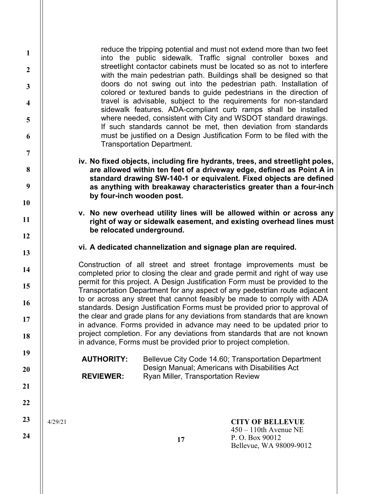reduce the tripping potential and must not extend more than two feet into the public sidewalk. Traffic signal controller boxes and streetlight contactor cabinets must be located so as not to interfere with the main pedestrian path. Buildings shall be designed so that doors do not swing out into the pedestrian path. Installation of colored or textured bands to guide pedestrians in the direction of travel is advisable, subject to the requirements for non-standard sidewalk features. ADA-compliant curb ramps shall be installed where needed, consistent with City and WSDOT standard drawings. If such standards cannot be met, then deviation from standards must be justified on a Design Justification Form to be filed with the Transportation Department.

iv. No fixed objects, including fire hydrants, trees, and streetlight poles, are allowed within ten feet of a driveway edge, defined as Point A in standard drawing SW-140-1 or equivalent. Fixed objects are defined as anything with breakaway characteristics greater than a four-inch by four-inch wooden post.

- v. No new overhead utility lines will be allowed within or across any right of way or sidewalk easement, and existing overhead lines must be relocated underground.
- vi. A dedicated channelization and signage plan are required.

Construction of all street and street frontage improvements must be completed prior to closing the clear and grade permit and right of way use permit for this project. A Design Justification Form must be provided to the Transportation Department for any aspect of any pedestrian route adjacent to or across any street that cannot feasibly be made to comply with ADA standards. Design Justification Forms must be provided prior to approval of the clear and grade plans for any deviations from standards that are known in advance. Forms provided in advance may need to be updated prior to project completion. For any deviations from standards that are not known in advance, Forms must be provided prior to project completion.

AUTHORITY: Bellevue City Code 14.60; Transportation Department Design Manual; Americans with Disabilities Act REVIEWER: Ryan Miller, Transportation Review

4/29/21

CITY OF BELLEVUE 450 – 110th Avenue NE

P. O. Box 90012 Bellevue, WA 98009-9012

23 24

1

2

3

4

5

6

7

8

9

10

11

12

13

14

15

16

17

18

19

20

21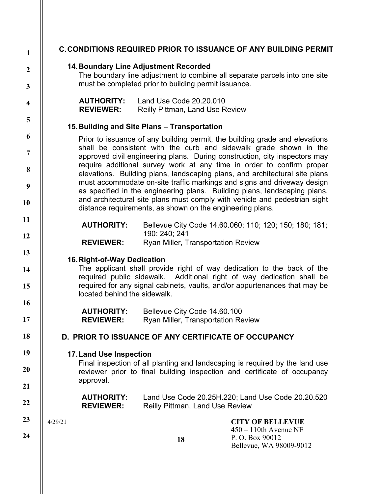| $\mathbf{1}$            | <b>C. CONDITIONS REQUIRED PRIOR TO ISSUANCE OF ANY BUILDING PERMIT</b>                                                                                                                                  |                                                                                                                                                                                                                          |                                                                                                                                                        |  |  |
|-------------------------|---------------------------------------------------------------------------------------------------------------------------------------------------------------------------------------------------------|--------------------------------------------------------------------------------------------------------------------------------------------------------------------------------------------------------------------------|--------------------------------------------------------------------------------------------------------------------------------------------------------|--|--|
| $\boldsymbol{2}$        | <b>14. Boundary Line Adjustment Recorded</b>                                                                                                                                                            |                                                                                                                                                                                                                          |                                                                                                                                                        |  |  |
| $\mathbf{3}$            |                                                                                                                                                                                                         | The boundary line adjustment to combine all separate parcels into one site<br>must be completed prior to building permit issuance.                                                                                       |                                                                                                                                                        |  |  |
| $\overline{\mathbf{4}}$ | <b>AUTHORITY:</b><br><b>REVIEWER:</b>                                                                                                                                                                   | Land Use Code 20.20.010<br><b>Reilly Pittman, Land Use Review</b>                                                                                                                                                        |                                                                                                                                                        |  |  |
| 5                       |                                                                                                                                                                                                         | 15. Building and Site Plans - Transportation                                                                                                                                                                             |                                                                                                                                                        |  |  |
| 6                       |                                                                                                                                                                                                         |                                                                                                                                                                                                                          | Prior to issuance of any building permit, the building grade and elevations                                                                            |  |  |
| $\overline{7}$          |                                                                                                                                                                                                         | shall be consistent with the curb and sidewalk grade shown in the<br>approved civil engineering plans. During construction, city inspectors may<br>require additional survey work at any time in order to confirm proper |                                                                                                                                                        |  |  |
| 8                       |                                                                                                                                                                                                         |                                                                                                                                                                                                                          | elevations. Building plans, landscaping plans, and architectural site plans<br>must accommodate on-site traffic markings and signs and driveway design |  |  |
| 9                       |                                                                                                                                                                                                         |                                                                                                                                                                                                                          | as specified in the engineering plans. Building plans, landscaping plans,                                                                              |  |  |
| 10                      |                                                                                                                                                                                                         | and architectural site plans must comply with vehicle and pedestrian sight<br>distance requirements, as shown on the engineering plans.                                                                                  |                                                                                                                                                        |  |  |
| 11                      | <b>AUTHORITY:</b>                                                                                                                                                                                       |                                                                                                                                                                                                                          | Bellevue City Code 14.60.060; 110; 120; 150; 180; 181;                                                                                                 |  |  |
| 12                      | <b>REVIEWER:</b>                                                                                                                                                                                        | 190; 240; 241<br>Ryan Miller, Transportation Review                                                                                                                                                                      |                                                                                                                                                        |  |  |
| 13                      | 16. Right-of-Way Dedication                                                                                                                                                                             |                                                                                                                                                                                                                          |                                                                                                                                                        |  |  |
| 14                      | The applicant shall provide right of way dedication to the back of the<br>required public sidewalk. Additional right of way dedication shall be                                                         |                                                                                                                                                                                                                          |                                                                                                                                                        |  |  |
| 15                      | located behind the sidewalk.                                                                                                                                                                            |                                                                                                                                                                                                                          | required for any signal cabinets, vaults, and/or appurtenances that may be                                                                             |  |  |
| 16                      | <b>AUTHORITY:</b>                                                                                                                                                                                       | Bellevue City Code 14.60.100                                                                                                                                                                                             |                                                                                                                                                        |  |  |
| 17                      | <b>REVIEWER:</b>                                                                                                                                                                                        | Ryan Miller, Transportation Review                                                                                                                                                                                       |                                                                                                                                                        |  |  |
| 18                      | D. PRIOR TO ISSUANCE OF ANY CERTIFICATE OF OCCUPANCY                                                                                                                                                    |                                                                                                                                                                                                                          |                                                                                                                                                        |  |  |
| 19                      | <b>17. Land Use Inspection</b><br>Final inspection of all planting and landscaping is required by the land use<br>reviewer prior to final building inspection and certificate of occupancy<br>approval. |                                                                                                                                                                                                                          |                                                                                                                                                        |  |  |
| 20                      |                                                                                                                                                                                                         |                                                                                                                                                                                                                          |                                                                                                                                                        |  |  |
| 21                      | <b>AUTHORITY:</b>                                                                                                                                                                                       |                                                                                                                                                                                                                          | Land Use Code 20.25H.220; Land Use Code 20.20.520                                                                                                      |  |  |
| 22                      | <b>REVIEWER:</b>                                                                                                                                                                                        | <b>Reilly Pittman, Land Use Review</b>                                                                                                                                                                                   |                                                                                                                                                        |  |  |
| 23                      | 4/29/21                                                                                                                                                                                                 |                                                                                                                                                                                                                          | <b>CITY OF BELLEVUE</b><br>$450 - 110$ th Avenue NE                                                                                                    |  |  |
| 24                      |                                                                                                                                                                                                         | 18                                                                                                                                                                                                                       | P.O. Box 90012<br>Bellevue, WA 98009-9012                                                                                                              |  |  |